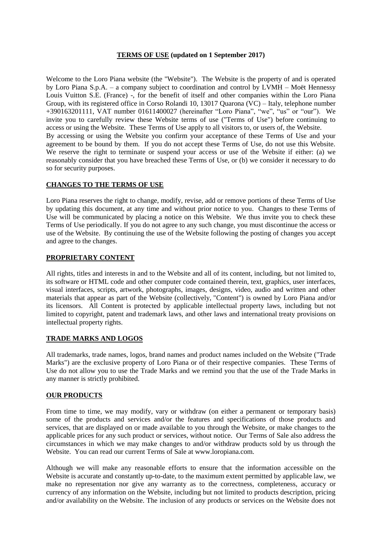### **TERMS OF USE (updated on 1 September 2017)**

Welcome to the Loro Piana website (the "Website"). The Website is the property of and is operated by Loro Piana S.p.A. – a company subject to coordination and control by LVMH – Moët Hennessy Louis Vuitton S.E. (France) -, for the benefit of itself and other companies within the Loro Piana Group, with its registered office in Corso Rolandi 10, 13017 Quarona (VC) – Italy, telephone number +390163201111, VAT number 01611400027 (hereinafter "Loro Piana", "we", "us" or "our"). We invite you to carefully review these Website terms of use ("Terms of Use") before continuing to access or using the Website. These Terms of Use apply to all visitors to, or users of, the Website. By accessing or using the Website you confirm your acceptance of these Terms of Use and your agreement to be bound by them. If you do not accept these Terms of Use, do not use this Website. We reserve the right to terminate or suspend your access or use of the Website if either: (a) we reasonably consider that you have breached these Terms of Use, or (b) we consider it necessary to do so for security purposes.

### **CHANGES TO THE TERMS OF USE**

Loro Piana reserves the right to change, modify, revise, add or remove portions of these Terms of Use by updating this document, at any time and without prior notice to you. Changes to these Terms of Use will be communicated by placing a notice on this Website. We thus invite you to check these Terms of Use periodically. If you do not agree to any such change, you must discontinue the access or use of the Website. By continuing the use of the Website following the posting of changes you accept and agree to the changes.

### **PROPRIETARY CONTENT**

All rights, titles and interests in and to the Website and all of its content, including, but not limited to, its software or HTML code and other computer code contained therein, text, graphics, user interfaces, visual interfaces, scripts, artwork, photographs, images, designs, video, audio and written and other materials that appear as part of the Website (collectively, "Content") is owned by Loro Piana and/or its licensors. All Content is protected by applicable intellectual property laws, including but not limited to copyright, patent and trademark laws, and other laws and international treaty provisions on intellectual property rights.

### **TRADE MARKS AND LOGOS**

All trademarks, trade names, logos, brand names and product names included on the Website ("Trade Marks") are the exclusive property of Loro Piana or of their respective companies. These Terms of Use do not allow you to use the Trade Marks and we remind you that the use of the Trade Marks in any manner is strictly prohibited.

## **OUR PRODUCTS**

From time to time, we may modify, vary or withdraw (on either a permanent or temporary basis) some of the products and services and/or the features and specifications of those products and services, that are displayed on or made available to you through the Website, or make changes to the applicable prices for any such product or services, without notice. Our Terms of Sale also address the circumstances in which we may make changes to and/or withdraw products sold by us through the Website. You can read our current Terms of Sale at www.loropiana.com.

Although we will make any reasonable efforts to ensure that the information accessible on the Website is accurate and constantly up-to-date, to the maximum extent permitted by applicable law, we make no representation nor give any warranty as to the correctness, completeness, accuracy or currency of any information on the Website, including but not limited to products description, pricing and/or availability on the Website. The inclusion of any products or services on the Website does not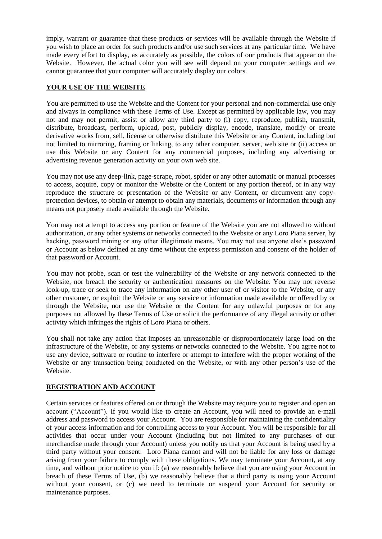imply, warrant or guarantee that these products or services will be available through the Website if you wish to place an order for such products and/or use such services at any particular time. We have made every effort to display, as accurately as possible, the colors of our products that appear on the Website. However, the actual color you will see will depend on your computer settings and we cannot guarantee that your computer will accurately display our colors.

## **YOUR USE OF THE WEBSITE**

You are permitted to use the Website and the Content for your personal and non-commercial use only and always in compliance with these Terms of Use. Except as permitted by applicable law, you may not and may not permit, assist or allow any third party to (i) copy, reproduce, publish, transmit, distribute, broadcast, perform, upload, post, publicly display, encode, translate, modify or create derivative works from, sell, license or otherwise distribute this Website or any Content, including but not limited to mirroring, framing or linking, to any other computer, server, web site or (ii) access or use this Website or any Content for any commercial purposes, including any advertising or advertising revenue generation activity on your own web site.

You may not use any deep-link, page-scrape, robot, spider or any other automatic or manual processes to access, acquire, copy or monitor the Website or the Content or any portion thereof, or in any way reproduce the structure or presentation of the Website or any Content, or circumvent any copyprotection devices, to obtain or attempt to obtain any materials, documents or information through any means not purposely made available through the Website.

You may not attempt to access any portion or feature of the Website you are not allowed to without authorization, or any other systems or networks connected to the Website or any Loro Piana server, by hacking, password mining or any other illegitimate means. You may not use anyone else's password or Account as below defined at any time without the express permission and consent of the holder of that password or Account.

You may not probe, scan or test the vulnerability of the Website or any network connected to the Website, nor breach the security or authentication measures on the Website. You may not reverse look-up, trace or seek to trace any information on any other user of or visitor to the Website, or any other customer, or exploit the Website or any service or information made available or offered by or through the Website, nor use the Website or the Content for any unlawful purposes or for any purposes not allowed by these Terms of Use or solicit the performance of any illegal activity or other activity which infringes the rights of Loro Piana or others.

You shall not take any action that imposes an unreasonable or disproportionately large load on the infrastructure of the Website, or any systems or networks connected to the Website. You agree not to use any device, software or routine to interfere or attempt to interfere with the proper working of the Website or any transaction being conducted on the Website, or with any other person's use of the Website.

## **REGISTRATION AND ACCOUNT**

Certain services or features offered on or through the Website may require you to register and open an account ("Account"). If you would like to create an Account, you will need to provide an e-mail address and password to access your Account. You are responsible for maintaining the confidentiality of your access information and for controlling access to your Account. You will be responsible for all activities that occur under your Account (including but not limited to any purchases of our merchandise made through your Account) unless you notify us that your Account is being used by a third party without your consent. Loro Piana cannot and will not be liable for any loss or damage arising from your failure to comply with these obligations. We may terminate your Account, at any time, and without prior notice to you if: (a) we reasonably believe that you are using your Account in breach of these Terms of Use, (b) we reasonably believe that a third party is using your Account without your consent, or (c) we need to terminate or suspend your Account for security or maintenance purposes.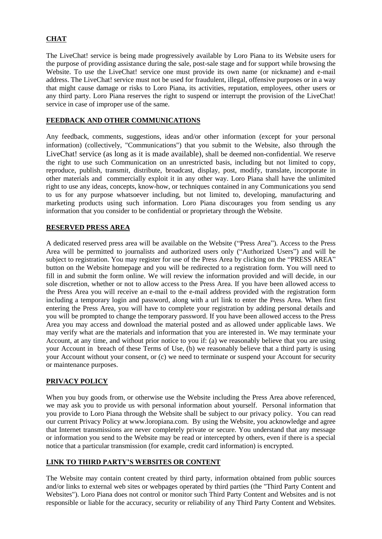# **CHAT**

The LiveChat! service is being made progressively available by Loro Piana to its Website users for the purpose of providing assistance during the sale, post-sale stage and for support while browsing the Website. To use the LiveChat! service one must provide its own name (or nickname) and e-mail address. The LiveChat! service must not be used for fraudulent, illegal, offensive purposes or in a way that might cause damage or risks to Loro Piana, its activities, reputation, employees, other users or any third party. Loro Piana reserves the right to suspend or interrupt the provision of the LiveChat! service in case of improper use of the same.

### **FEEDBACK AND OTHER COMMUNICATIONS**

Any feedback, comments, suggestions, ideas and/or other information (except for your personal information) (collectively, "Communications") that you submit to the Website, also through the LiveChat! service (as long as it is made available), shall be deemed non-confidential. We reserve the right to use such Communication on an unrestricted basis, including but not limited to copy, reproduce, publish, transmit, distribute, broadcast, display, post, modify, translate, incorporate in other materials and commercially exploit it in any other way. Loro Piana shall have the unlimited right to use any ideas, concepts, know-how, or techniques contained in any Communications you send to us for any purpose whatsoever including, but not limited to, developing, manufacturing and marketing products using such information. Loro Piana discourages you from sending us any information that you consider to be confidential or proprietary through the Website.

### **RESERVED PRESS AREA**

A dedicated reserved press area will be available on the Website ("Press Area"). Access to the Press Area will be permitted to journalists and authorized users only ("Authorized Users") and will be subject to registration. You may register for use of the Press Area by clicking on the "PRESS AREA" button on the Website homepage and you will be redirected to a registration form. You will need to fill in and submit the form online. We will review the information provided and will decide, in our sole discretion, whether or not to allow access to the Press Area. If you have been allowed access to the Press Area you will receive an e-mail to the e-mail address provided with the registration form including a temporary login and password, along with a url link to enter the Press Area. When first entering the Press Area, you will have to complete your registration by adding personal details and you will be prompted to change the temporary password. If you have been allowed access to the Press Area you may access and download the material posted and as allowed under applicable laws. We may verify what are the materials and information that you are interested in. We may terminate your Account, at any time, and without prior notice to you if: (a) we reasonably believe that you are using your Account in breach of these Terms of Use, (b) we reasonably believe that a third party is using your Account without your consent, or (c) we need to terminate or suspend your Account for security or maintenance purposes.

### **PRIVACY POLICY**

When you buy goods from, or otherwise use the Website including the Press Area above referenced, we may ask you to provide us with personal information about yourself. Personal information that you provide to Loro Piana through the Website shall be subject to our privacy policy. You can read our current Privacy Policy at www.loropiana.com. By using the Website, you acknowledge and agree that Internet transmissions are never completely private or secure. You understand that any message or information you send to the Website may be read or intercepted by others, even if there is a special notice that a particular transmission (for example, credit card information) is encrypted.

### **LINK TO THIRD PARTY'S WEBSITES OR CONTENT**

The Website may contain content created by third party, information obtained from public sources and/or links to external web sites or webpages operated by third parties (the "Third Party Content and Websites"). Loro Piana does not control or monitor such Third Party Content and Websites and is not responsible or liable for the accuracy, security or reliability of any Third Party Content and Websites.